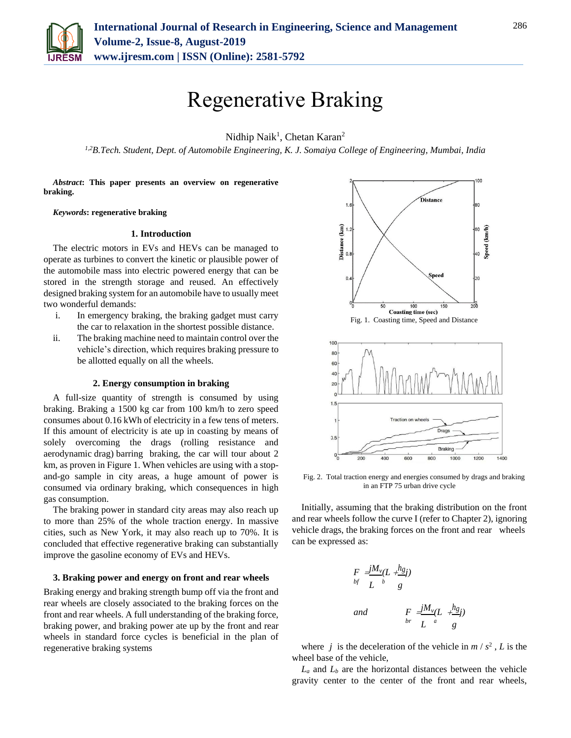

# Regenerative Braking

Nidhip Naik<sup>1</sup>, Chetan Karan<sup>2</sup>

*1,2B.Tech. Student, Dept. of Automobile Engineering, K. J. Somaiya College of Engineering, Mumbai, India*

*Abstract***: This paper presents an overview on regenerative braking.**

### *Keywords***: regenerative braking**

#### **1. Introduction**

The electric motors in EVs and HEVs can be managed to operate as turbines to convert the kinetic or plausible power of the automobile mass into electric powered energy that can be stored in the strength storage and reused. An effectively designed braking system for an automobile have to usually meet two wonderful demands:

- i. In emergency braking, the braking gadget must carry the car to relaxation in the shortest possible distance.
- ii. The braking machine need to maintain control over the vehicle's direction, which requires braking pressure to be allotted equally on all the wheels.

### **2. Energy consumption in braking**

A full-size quantity of strength is consumed by using braking. Braking a 1500 kg car from 100 km/h to zero speed consumes about 0.16 kWh of electricity in a few tens of meters. If this amount of electricity is ate up in coasting by means of solely overcoming the drags (rolling resistance and aerodynamic drag) barring braking, the car will tour about 2 km, as proven in Figure 1. When vehicles are using with a stopand-go sample in city areas, a huge amount of power is consumed via ordinary braking, which consequences in high gas consumption.

The braking power in standard city areas may also reach up to more than 25% of the whole traction energy. In massive cities, such as New York, it may also reach up to 70%. It is concluded that effective regenerative braking can substantially improve the gasoline economy of EVs and HEVs.

# **3. Braking power and energy on front and rear wheels**

Braking energy and braking strength bump off via the front and rear wheels are closely associated to the braking forces on the front and rear wheels. A full understanding of the braking force, braking power, and braking power ate up by the front and rear wheels in standard force cycles is beneficial in the plan of regenerative braking systems





Fig. 2. Total traction energy and energies consumed by drags and braking in an FTP 75 urban drive cycle

Initially, assuming that the braking distribution on the front and rear wheels follow the curve I (refer to Chapter 2), ignoring vehicle drags, the braking forces on the front and rear wheels can be expressed as:

$$
F = \frac{jM_v}{L} \left( \frac{L}{b} + \frac{h_g}{g} \right)
$$
\n
$$
F = \frac{jM_v}{L} \left( \frac{h_g}{g} \right)
$$
\n
$$
F = \frac{jM_v}{L} \left( \frac{h_g}{g} \right)
$$

where *j* is the deceleration of the vehicle in  $m / s^2$ , *L* is the wheel base of the vehicle,

 $L_a$  and  $L_b$  are the horizontal distances between the vehicle gravity center to the center of the front and rear wheels,